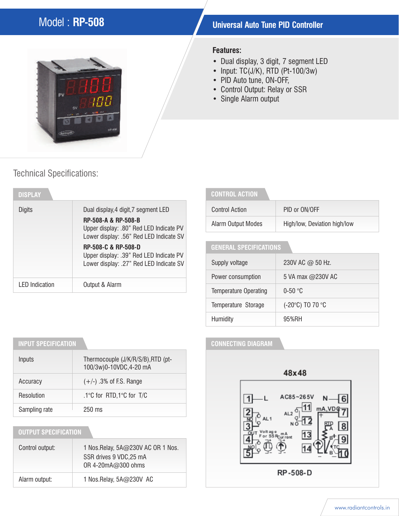# Model : **RP-508 Universal Auto Tune PID Controller**



#### **Features:**

- Dual display, 3 digit, 7 segment LED
- Input:  $TC(J/K)$ , RTD (Pt-100/3w)
- PID Auto tune, ON-OFF,
- Control Output: Relay or SSR
- Single Alarm output

## Technical Specifications:

| <b>DISPLAY</b>        |                                                                                    |
|-----------------------|------------------------------------------------------------------------------------|
| Digits                | Dual display, 4 digit, 7 segment LED<br><b>RP-508-A &amp; RP-508-B</b>             |
|                       | Upper display: .80" Red LED Indicate PV<br>Lower display: .56" Red LED Indicate SV |
|                       | RP-508-C & RP-508-D<br>Upper display: .39" Red LED Indicate PV                     |
|                       | Lower display: .27" Red LED Indicate SV                                            |
| <b>LED</b> Indication | Output & Alarm                                                                     |

#### **CONTROL ACTION**

| Control Action     | PID or ON/OFF                |
|--------------------|------------------------------|
| Alarm Output Modes | High/low, Deviation high/low |

### **GENERAL SPECIFICATIONS**

| Supply voltage               | 230V AC @ 50 Hz.  |  |
|------------------------------|-------------------|--|
| Power consumption            | 5 VA max @230V AC |  |
| <b>Temperature Operating</b> | $0-50$ °C         |  |
| Temperature Storage          | (-20°C) TO 70 °C  |  |
| Humidity                     | 95%RH             |  |

#### **CONNECTING DIAGRAM**



## **INPUT SPECIFICATION**

| Inputs        | Thermocouple (J/K/R/S/B), RTD (pt-<br>100/3w)0-10VDC,4-20 mA |
|---------------|--------------------------------------------------------------|
| Accuracy      | $(+/-)$ .3% of F.S. Range                                    |
| Resolution    | .1°C for RTD,1°C for T/C                                     |
| Sampling rate | $250$ ms                                                     |

### **OUTPUT SPECIFICATION**

| Control output: | 1 Nos. Relay, 5A@230V AC OR 1 Nos.<br>SSR drives 9 VDC, 25 mA<br>OR 4-20mA@300 ohms |  |
|-----------------|-------------------------------------------------------------------------------------|--|
| Alarm output:   | 1 Nos. Relay, $5A@230V$ AC                                                          |  |